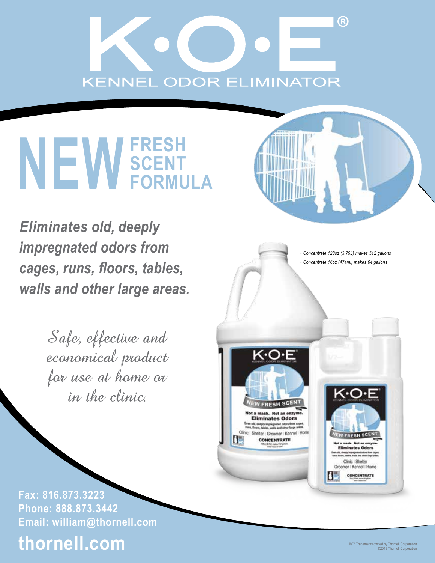# R) **KENNEL ODOR ELIMINATOR**

# NEW SCENT **SCENT FORMULA**

 *Eliminates old, deeply impregnated odors from cages, runs, floors, tables, walls and other large areas.*

> Safe, effective and economical product for use at home or in the clinic.

*• Concentrate 128oz (3.79L) makes 512 gallons • Concentrate 16oz (474ml) makes 64 gallons* **FRESH S** lot a mask. Not an enz **Eliminates Odors** old, deeply impregnated odors from 0<br>. Roors, tables, walls and other large a Clinic | Shelter | Groomer | Kennel | Home IШ **CONCENTRATE Eliminates Odors** ind, diveply impregnated odors for<br>Nearn, habbes, walls and other lar Clinic | Shelter Groomer | Kennel | Home CONCENTRATE

**Fax: 816.873.3223 Phone: 888.873.3442 Email: william@thornell.com**

# **thornell.com**